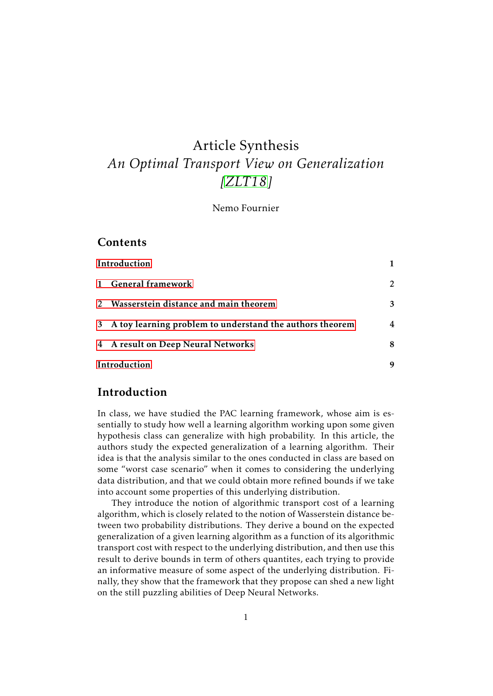# Article Synthesis *An Optimal Transport View on Generalization [\[ZLT18\]](#page-8-0)*

#### Nemo Fournier

#### **Contents**

| Introduction |                                                            |         |
|--------------|------------------------------------------------------------|---------|
| $\mathbf{1}$ | <b>General framework</b>                                   | $2^{1}$ |
|              | Wasserstein distance and main theorem                      | 3       |
|              | 3 A toy learning problem to understand the authors theorem | 4       |
|              | 4 A result on Deep Neural Networks                         | 8       |
| Introduction |                                                            | 9       |

#### <span id="page-0-0"></span>Introduction

In class, we have studied the PAC learning framework, whose aim is essentially to study how well a learning algorithm working upon some given hypothesis class can generalize with high probability. In this article, the authors study the expected generalization of a learning algorithm. Their idea is that the analysis similar to the ones conducted in class are based on some "worst case scenario" when it comes to considering the underlying data distribution, and that we could obtain more refined bounds if we take into account some properties of this underlying distribution.

They introduce the notion of algorithmic transport cost of a learning algorithm, which is closely related to the notion of Wasserstein distance between two probability distributions. They derive a bound on the expected generalization of a given learning algorithm as a function of its algorithmic transport cost with respect to the underlying distribution, and then use this result to derive bounds in term of others quantites, each trying to provide an informative measure of some aspect of the underlying distribution. Finally, they show that the framework that they propose can shed a new light on the still puzzling abilities of Deep Neural Networks.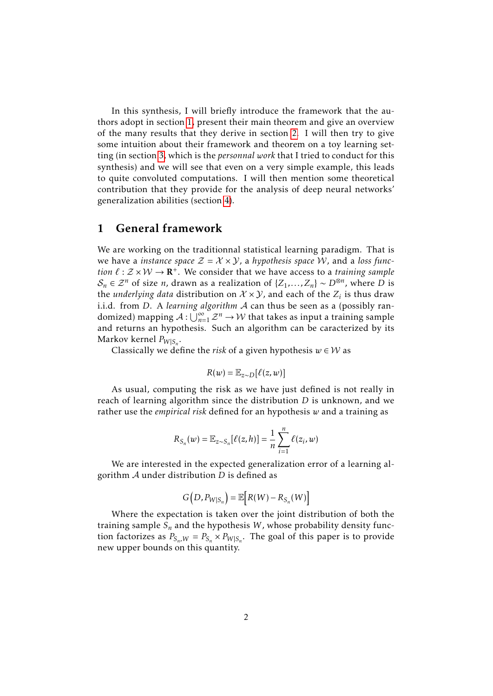In this synthesis, I will briefly introduce the framework that the authors adopt in section [1,](#page-1-0) present their main theorem and give an overview of the many results that they derive in section [2.](#page-2-0) I will then try to give some intuition about their framework and theorem on a toy learning setting (in section [3,](#page-3-0) which is the *personnal work* that I tried to conduct for this synthesis) and we will see that even on a very simple example, this leads to quite convoluted computations. I will then mention some theoretical contribution that they provide for the analysis of deep neural networks' generalization abilities (section [4\)](#page-7-0).

### <span id="page-1-0"></span>1 General framework

We are working on the traditionnal statistical learning paradigm. That is we have a *instance space*  $\mathcal{Z} = \mathcal{X} \times \mathcal{Y}$ , a *hypothesis space* W, and a *loss function*  $\ell : \mathcal{Z} \times \mathcal{W} \to \mathbf{R}^+$ . We consider that we have access to a *training sample*  $S_n$  ∈  $\mathcal{Z}^n$  of size *n*, drawn as a realization of {*Z*<sub>1</sub>,...,*Z*<sub>*n*</sub>} ~ *D*⊗*n*, where *D* is the *underlying data* distribution on  $\mathcal{X} \times \mathcal{Y}$ , and each of the  $Z_i$  is thus draw i.i.d. from *D*. A *learning algorithm* A can thus be seen as a (possibly randomized) mapping  $A: \bigcup_{n=1}^{\infty} \mathbb{Z}^n \to \mathcal{W}$  that takes as input a training sample and returns an hypothesis. Such an algorithm can be caracterized by its Markov kernel *P<sup>W</sup>* <sup>|</sup>*S<sup>n</sup>* .

Classically we define the *risk* of a given hypothesis  $w \in W$  as

$$
R(w) = \mathbb{E}_{z \sim D}[\ell(z, w)]
$$

As usual, computing the risk as we have just defined is not really in reach of learning algorithm since the distribution *D* is unknown, and we rather use the *empirical risk* defined for an hypothesis *w* and a training as

$$
R_{S_n}(w) = \mathbb{E}_{z \sim S_n}[\ell(z, h)] = \frac{1}{n} \sum_{i=1}^n \ell(z_i, w)
$$

We are interested in the expected generalization error of a learning algorithm A under distribution *D* is defined as

$$
G(D, P_{W|S_n}) = \mathbb{E}\big[R(W) - R_{S_n}(W)\big]
$$

Where the expectation is taken over the joint distribution of both the training sample *S<sup>n</sup>* and the hypothesis *W* , whose probability density function factorizes as  $P_{S_n,W} = P_{S_n} \times P_{W|S_n}$ . The goal of this paper is to provide new upper bounds on this quantity.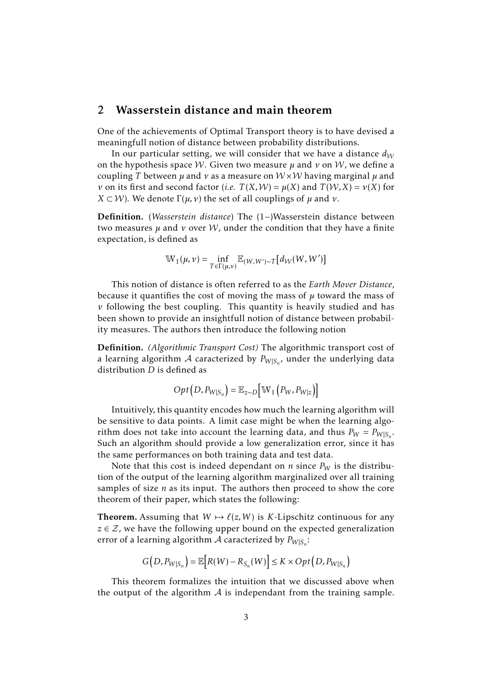#### <span id="page-2-0"></span>2 Wasserstein distance and main theorem

One of the achievements of Optimal Transport theory is to have devised a meaningfull notion of distance between probability distributions.

In our particular setting, we will consider that we have a distance  $d_W$ on the hypothesis space W. Given two measure *µ* and *ν* on W, we define a coupling *T* between *µ* and *ν* as a measure on W ×W having marginal *µ* and *ν* on its first and second factor (*i.e.*  $T(X, W) = \mu(X)$  and  $T(W, X) = \nu(X)$  for *X* ⊂ *W*). We denote  $\Gamma$ (*µ, v*) the set of all couplings of *µ* and *ν*.

Definition. (*Wasserstein distance*) The (1−)Wasserstein distance between two measures  $\mu$  and  $\nu$  over W, under the condition that they have a finite expectation, is defined as

$$
\mathbb{W}_1(\mu,\nu) = \inf_{T \in \Gamma(\mu,\nu)} \mathbb{E}_{(W,W') \sim T} \big[ d_\mathcal{W}(W,W') \big]
$$

This notion of distance is often referred to as the *Earth Mover Distance*, because it quantifies the cost of moving the mass of  $\mu$  toward the mass of *ν* following the best coupling. This quantity is heavily studied and has been shown to provide an insightfull notion of distance between probability measures. The authors then introduce the following notion

Definition. *(Algorithmic Transport Cost)* The algorithmic transport cost of a learning algorithm  $\mathcal A$  caracterized by  $P_{W|S_n}$ , under the underlying data distribution *D* is defined as

$$
Opt(D, P_{W|S_n}) = \mathbb{E}_{z \sim D} [W_1(P_W, P_{W|z})]
$$

Intuitively, this quantity encodes how much the learning algorithm will be sensitive to data points. A limit case might be when the learning algorithm does not take into account the learning data, and thus  $P_W = P_{W|S_n}$ . Such an algorithm should provide a low generalization error, since it has the same performances on both training data and test data.

Note that this cost is indeed dependant on *n* since  $P_W$  is the distribution of the output of the learning algorithm marginalized over all training samples of size *n* as its input. The authors then proceed to show the core theorem of their paper, which states the following:

**Theorem.** Assuming that  $W \mapsto \ell(z, W)$  is *K*-Lipschitz continuous for any  $z \in \mathcal{Z}$ , we have the following upper bound on the expected generalization error of a learning algorithm  $\mathcal A$  caracterized by  $P_{W|S_n}$ :

$$
G(D, P_{W|S_n}) = \mathbb{E}\Big[R(W) - R_{S_n}(W)\Big] \leq K \times Opt(D, P_{W|S_n})
$$

This theorem formalizes the intuition that we discussed above when the output of the algorithm  $A$  is independant from the training sample.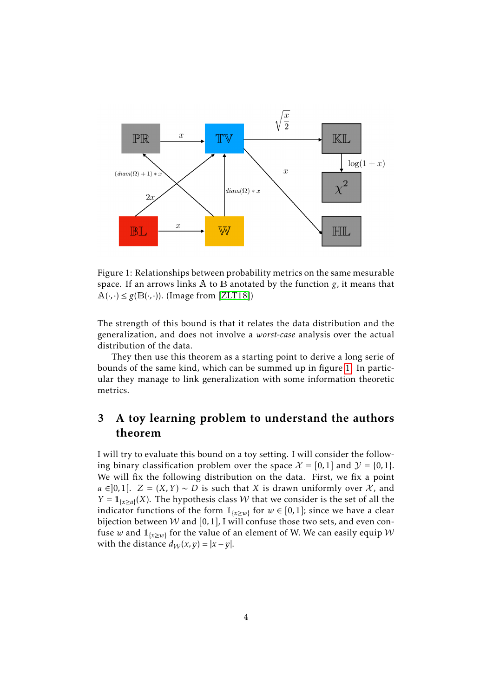

<span id="page-3-1"></span>Figure 1: Relationships between probability metrics on the same mesurable space. If an arrows links A to B anotated by the function *g*, it means that  $A(\cdot, \cdot) \leq g(B(\cdot, \cdot))$ . (Image from [\[ZLT18\]](#page-8-0))

The strength of this bound is that it relates the data distribution and the generalization, and does not involve a *worst-case* analysis over the actual distribution of the data.

They then use this theorem as a starting point to derive a long serie of bounds of the same kind, which can be summed up in figure [1.](#page-3-1) In particular they manage to link generalization with some information theoretic metrics.

# <span id="page-3-0"></span>3 A toy learning problem to understand the authors theorem

I will try to evaluate this bound on a toy setting. I will consider the following binary classification problem over the space  $\mathcal{X} = [0,1]$  and  $\mathcal{Y} = \{0,1\}$ . We will fix the following distribution on the data. First, we fix a point *a* ∈[0,1[. *Z* = (*X,Y*) ∼ *D* is such that *X* is drawn uniformly over *X*, and *Y* =  $\mathbf{1}_{\{x \ge a\}}(X)$ . The hypothesis class *W* that we consider is the set of all the indicator functions of the form  $\mathbb{1}_{\{x \geq w\}}$  for  $w \in [0,1]$ ; since we have a clear bijection between  $W$  and [0,1], I will confuse those two sets, and even confuse *w* and  $\mathbb{1}_{\{x \geq w\}}$  for the value of an element of W. We can easily equip  $\mathcal W$ with the distance  $d_W(x, y) = |x - y|$ .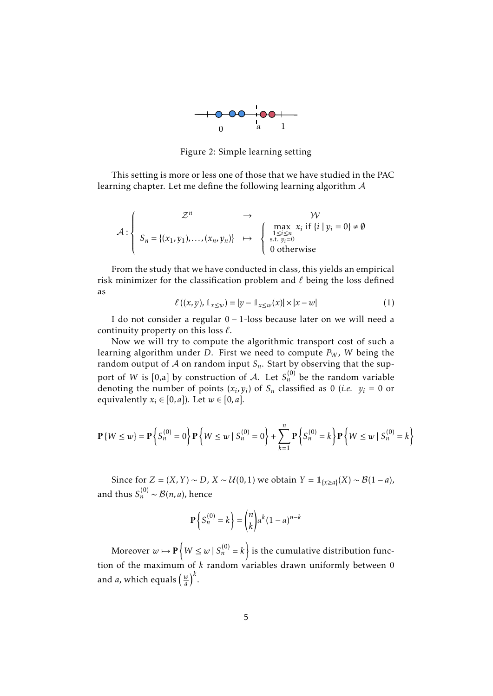

Figure 2: Simple learning setting

This setting is more or less one of those that we have studied in the PAC learning chapter. Let me define the following learning algorithm A

$$
\mathcal{A}: \left\{ \begin{array}{ccc} \mathcal{Z}^n & \to & \mathcal{W} \\ S_n = \{(x_1, y_1), \dots, (x_n, y_n)\} & \mapsto & \begin{cases} \max\limits_{1 \leq i \leq n \\ \text{s.t. } y_i = 0 \\ 0 \text{ otherwise} \end{cases} & \text{otherwise} \end{array} \right.
$$

From the study that we have conducted in class, this yields an empirical risk minimizer for the classification problem and  $\ell$  being the loss defined as

<span id="page-4-0"></span>
$$
\ell((x, y), 1_{x \le w}) = |y - 1_{x \le w}(x)| \times |x - w|
$$
 (1)

I do not consider a regular 0 − 1-loss because later on we will need a continuity property on this loss  $\ell$ .

Now we will try to compute the algorithmic transport cost of such a learning algorithm under *D*. First we need to compute *P<sup>W</sup>* , *W* being the random output of  $A$  on random input  $S_n$ . Start by observing that the support of *W* is [0,a] by construction of *A*. Let  $S_n^{(0)}$  be the random variable denoting the number of points  $(x_i, y_i)$  of  $S_n$  classified as 0 (*i.e.*  $y_i = 0$  or equivalently  $x_i \in [0, a]$ ). Let  $w \in [0, a]$ .

$$
\mathbf{P}\{W \le w\} = \mathbf{P}\left\{S_n^{(0)} = 0\right\} \mathbf{P}\left\{W \le w \mid S_n^{(0)} = 0\right\} + \sum_{k=1}^n \mathbf{P}\left\{S_n^{(0)} = k\right\} \mathbf{P}\left\{W \le w \mid S_n^{(0)} = k\right\}
$$

Since for *Z* =  $(X, Y) \sim D$ ,  $X \sim \mathcal{U}(0, 1)$  we obtain  $Y = \mathbb{1}_{\{x \ge a\}}(X) \sim \mathcal{B}(1 - a)$ , and thus  $S_n^{(0)} \sim \mathcal{B}(n,a)$ , hence

$$
\mathbf{P}\left\{S_n^{(0)}=k\right\} = \binom{n}{k} a^k (1-a)^{n-k}
$$

Moreover  $w \mapsto \mathbf{P} \left\{ W \leq w \mid S_n^{(0)} = k \right\}$  is the cumulative distribution function of the maximum of *k* random variables drawn uniformly between 0 and *a*, which equals  $\left(\frac{w}{a}\right)$  $\frac{w}{a}$  $\Big)^k$ .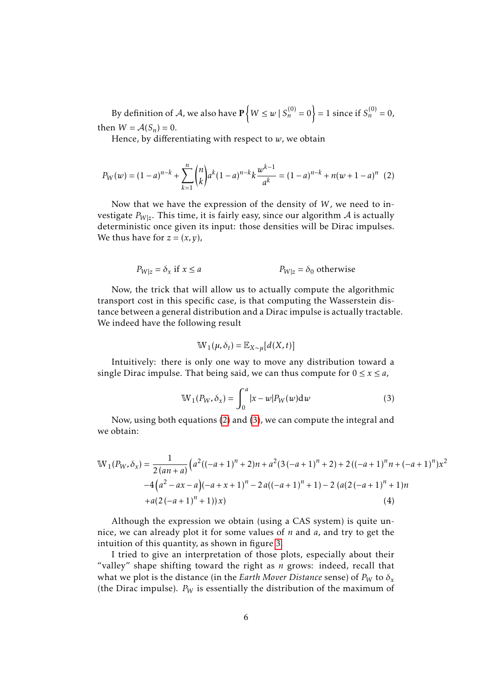By definition of A, we also have  $\mathbf{P}\left\{W\leq w\,|\, S_n^{(0)}=0\right\}=1$  since if  $S_n^{(0)}=0$ , then  $W = A(S_n) = 0$ .

Hence, by differentiating with respect to *w*, we obtain

<span id="page-5-0"></span>
$$
P_W(w) = (1-a)^{n-k} + \sum_{k=1}^n {n \choose k} a^k (1-a)^{n-k} k \frac{w^{k-1}}{a^k} = (1-a)^{n-k} + n(w+1-a)^n
$$
 (2)

Now that we have the expression of the density of *W*, we need to investigate  $P_{W|z}$ . This time, it is fairly easy, since our algorithm  $\mathcal A$  is actually deterministic once given its input: those densities will be Dirac impulses. We thus have for  $z = (x, y)$ ,

$$
P_{W|z} = \delta_x \text{ if } x \le a \qquad P_{W|z} = \delta_0 \text{ otherwise}
$$

Now, the trick that will allow us to actually compute the algorithmic transport cost in this specific case, is that computing the Wasserstein distance between a general distribution and a Dirac impulse is actually tractable. We indeed have the following result

$$
\mathbb{W}_1(\mu,\delta_t) = \mathbb{E}_{X \sim \mu}[d(X,t)]
$$

Intuitively: there is only one way to move any distribution toward a single Dirac impulse. That being said, we can thus compute for  $0 \le x \le a$ ,

<span id="page-5-2"></span><span id="page-5-1"></span>
$$
\mathbb{W}_1(P_W, \delta_x) = \int_0^a |x - w| P_W(w) \mathrm{d}w \tag{3}
$$

Now, using both equations [\(2\)](#page-5-0) and [\(3\)](#page-5-1), we can compute the integral and we obtain:

$$
\mathbb{W}_1(P_W, \delta_x) = \frac{1}{2(an+a)} \Big( a^2((-a+1)^n + 2)n + a^2(3(-a+1)^n + 2) + 2((-a+1)^n n + (-a+1)^n)x^2
$$
  
\n
$$
-4\Big(a^2 - ax - a\Big)(-a+x+1)^n - 2a((-a+1)^n + 1) - 2(a(2(-a+1)^n + 1)n + a(2(-a+1)^n + 1))x)
$$
\n(4)

Although the expression we obtain (using a CAS system) is quite unnice, we can already plot it for some values of *n* and *a*, and try to get the intuition of this quantity, as shown in figure [3.](#page-6-0)

I tried to give an interpretation of those plots, especially about their "valley" shape shifting toward the right as *n* grows: indeed, recall that what we plot is the distance (in the *Earth Mover Distance* sense) of  $P_W$  to  $\delta_x$ (the Dirac impulse).  $P_W$  is essentially the distribution of the maximum of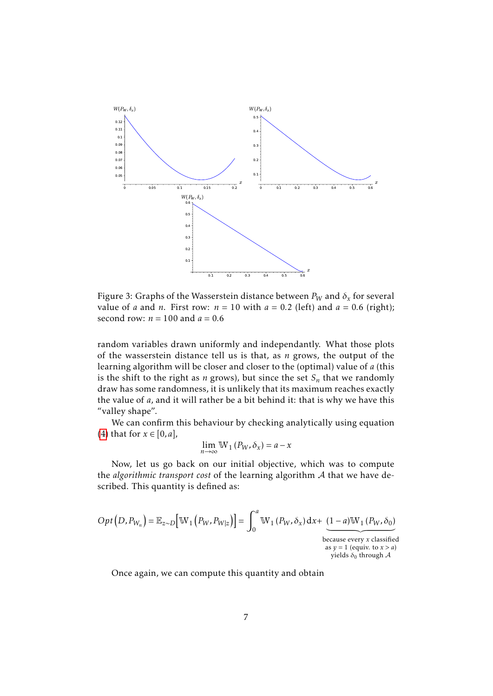

<span id="page-6-0"></span>Figure 3: Graphs of the Wasserstein distance between  $P_W$  and  $\delta_x$  for several value of *a* and *n*. First row:  $n = 10$  with  $a = 0.2$  (left) and  $a = 0.6$  (right); second row:  $n = 100$  and  $a = 0.6$ 

random variables drawn uniformly and independantly. What those plots of the wasserstein distance tell us is that, as *n* grows, the output of the learning algorithm will be closer and closer to the (optimal) value of *a* (this is the shift to the right as  $n$  grows), but since the set  $S_n$  that we randomly draw has some randomness, it is unlikely that its maximum reaches exactly the value of *a*, and it will rather be a bit behind it: that is why we have this "valley shape".

We can confirm this behaviour by checking analytically using equation [\(4\)](#page-5-2) that for *x* ∈ [0, *a*],

$$
\lim_{n \to \infty} W_1(P_W, \delta_x) = a - x
$$

Now, let us go back on our initial objective, which was to compute the *algorithmic transport cost* of the learning algorithm A that we have described. This quantity is defined as:

$$
Opt(D, P_{W_n}) = \mathbb{E}_{z \sim D} [\mathbb{W}_1 (P_W, P_{W|z})] = \int_0^a \mathbb{W}_1 (P_W, \delta_x) dx + \underbrace{(1-a)\mathbb{W}_1 (P_W, \delta_0)}_{\text{because every } x \text{ classified as } y = 1 \text{ (equiv. to } x > a) \text{ yields } \delta_0 \text{ through } A}
$$

Once again, we can compute this quantity and obtain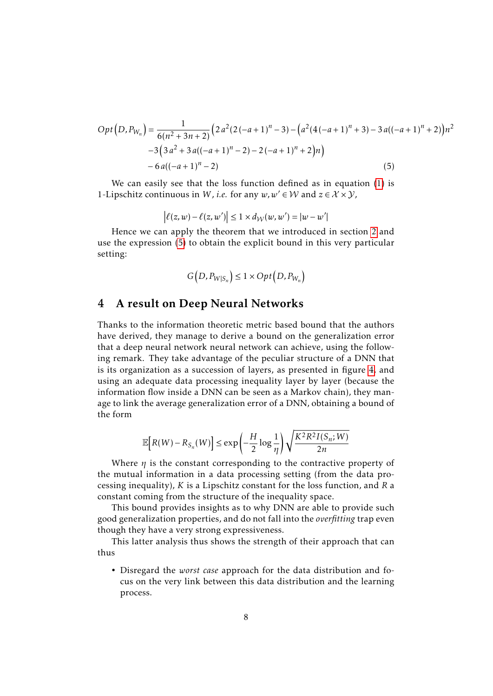$$
Opt(D, P_{W_n}) = \frac{1}{6(n^2 + 3n + 2)} \left(2 a^2 (2(-a+1)^n - 3) - \left(a^2 (4(-a+1)^n + 3) - 3 a ((-a+1)^n + 2)\right)n^2 - 3\left(3 a^2 + 3 a ((-a+1)^n - 2) - 2(-a+1)^n + 2\right)n\right) - 6 a ((-a+1)^n - 2)
$$
\n(5)

We can easily see that the loss function defined as in equation [\(1\)](#page-4-0) is 1-Lipschitz continuous in *W*, *i.e.* for any  $w, w' \in W$  and  $z \in \mathcal{X} \times \mathcal{Y}$ ,

<span id="page-7-1"></span>
$$
\left| \ell(z, w) - \ell(z, w') \right| \leq 1 \times d_{\mathcal{W}}(w, w') = |w - w'|
$$

Hence we can apply the theorem that we introduced in section [2](#page-2-0) and use the expression [\(5\)](#page-7-1) to obtain the explicit bound in this very particular setting:

$$
G(D, P_{W|S_n}) \le 1 \times Opt(D, P_{W_n})
$$

#### <span id="page-7-0"></span>4 A result on Deep Neural Networks

Thanks to the information theoretic metric based bound that the authors have derived, they manage to derive a bound on the generalization error that a deep neural network neural network can achieve, using the following remark. They take advantage of the peculiar structure of a DNN that is its organization as a succession of layers, as presented in figure [4,](#page-8-2) and using an adequate data processing inequality layer by layer (because the information flow inside a DNN can be seen as a Markov chain), they manage to link the average generalization error of a DNN, obtaining a bound of the form

$$
\mathbb{E}\Big[R(W) - R_{S_n}(W)\Big] \le \exp\left(-\frac{H}{2}\log\frac{1}{\eta}\right)\sqrt{\frac{K^2R^2I(S_n;W)}{2n}}
$$

Where *η* is the constant corresponding to the contractive property of the mutual information in a data processing setting (from the data processing inequality), *K* is a Lipschitz constant for the loss function, and *R* a constant coming from the structure of the inequality space.

This bound provides insights as to why DNN are able to provide such good generalization properties, and do not fall into the *overfitting* trap even though they have a very strong expressiveness.

This latter analysis thus shows the strength of their approach that can thus

• Disregard the *worst case* approach for the data distribution and focus on the very link between this data distribution and the learning process.